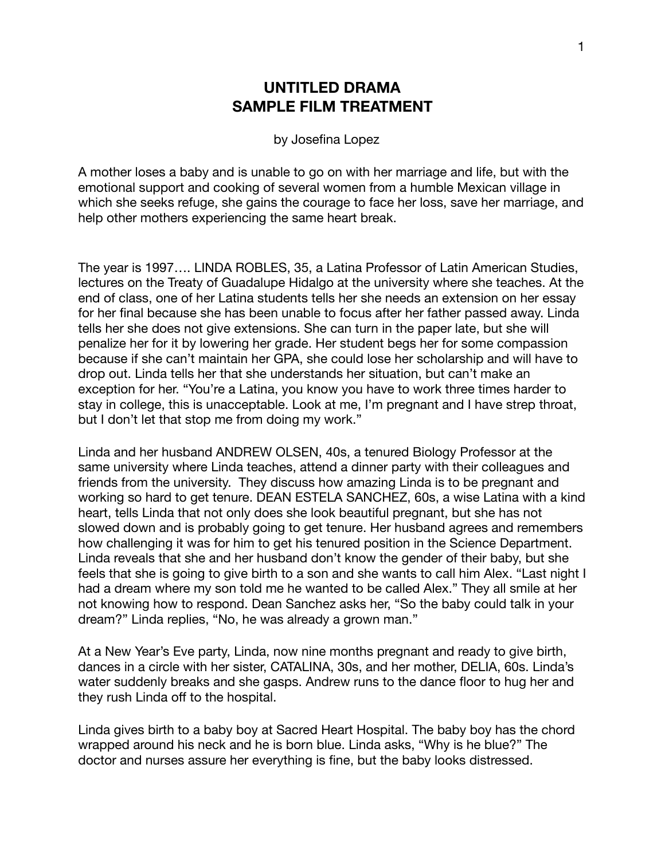## **UNTITLED DRAMA SAMPLE FILM TREATMENT**

## by Josefina Lopez

A mother loses a baby and is unable to go on with her marriage and life, but with the emotional support and cooking of several women from a humble Mexican village in which she seeks refuge, she gains the courage to face her loss, save her marriage, and help other mothers experiencing the same heart break.

The year is 1997…. LINDA ROBLES, 35, a Latina Professor of Latin American Studies, lectures on the Treaty of Guadalupe Hidalgo at the university where she teaches. At the end of class, one of her Latina students tells her she needs an extension on her essay for her final because she has been unable to focus after her father passed away. Linda tells her she does not give extensions. She can turn in the paper late, but she will penalize her for it by lowering her grade. Her student begs her for some compassion because if she can't maintain her GPA, she could lose her scholarship and will have to drop out. Linda tells her that she understands her situation, but can't make an exception for her. "You're a Latina, you know you have to work three times harder to stay in college, this is unacceptable. Look at me, I'm pregnant and I have strep throat, but I don't let that stop me from doing my work."

Linda and her husband ANDREW OLSEN, 40s, a tenured Biology Professor at the same university where Linda teaches, attend a dinner party with their colleagues and friends from the university. They discuss how amazing Linda is to be pregnant and working so hard to get tenure. DEAN ESTELA SANCHEZ, 60s, a wise Latina with a kind heart, tells Linda that not only does she look beautiful pregnant, but she has not slowed down and is probably going to get tenure. Her husband agrees and remembers how challenging it was for him to get his tenured position in the Science Department. Linda reveals that she and her husband don't know the gender of their baby, but she feels that she is going to give birth to a son and she wants to call him Alex. "Last night I had a dream where my son told me he wanted to be called Alex." They all smile at her not knowing how to respond. Dean Sanchez asks her, "So the baby could talk in your dream?" Linda replies, "No, he was already a grown man."

At a New Year's Eve party, Linda, now nine months pregnant and ready to give birth, dances in a circle with her sister, CATALINA, 30s, and her mother, DELIA, 60s. Linda's water suddenly breaks and she gasps. Andrew runs to the dance floor to hug her and they rush Linda off to the hospital.

Linda gives birth to a baby boy at Sacred Heart Hospital. The baby boy has the chord wrapped around his neck and he is born blue. Linda asks, "Why is he blue?" The doctor and nurses assure her everything is fine, but the baby looks distressed.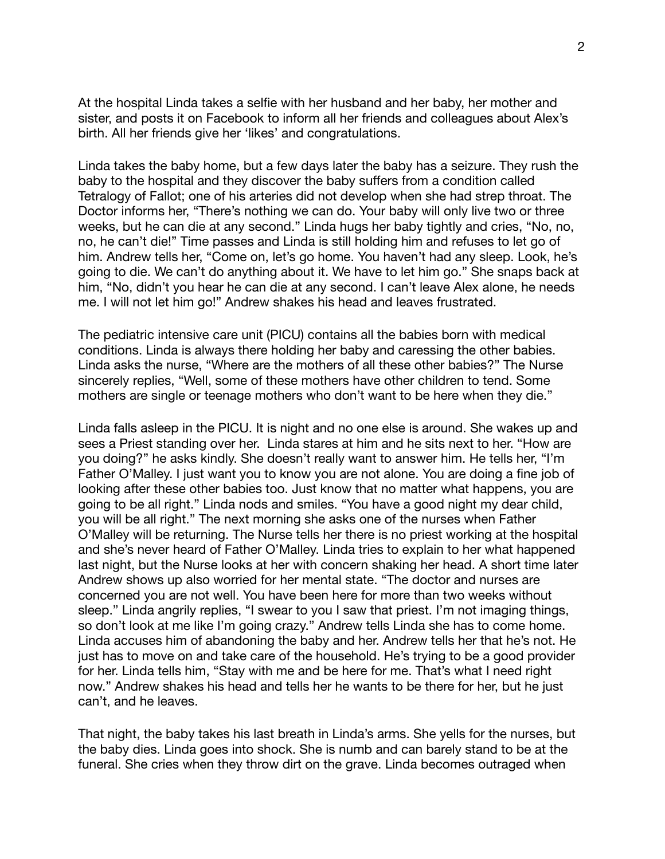At the hospital Linda takes a selfie with her husband and her baby, her mother and sister, and posts it on Facebook to inform all her friends and colleagues about Alex's birth. All her friends give her 'likes' and congratulations.

Linda takes the baby home, but a few days later the baby has a seizure. They rush the baby to the hospital and they discover the baby suffers from a condition called Tetralogy of Fallot; one of his arteries did not develop when she had strep throat. The Doctor informs her, "There's nothing we can do. Your baby will only live two or three weeks, but he can die at any second." Linda hugs her baby tightly and cries, "No, no, no, he can't die!" Time passes and Linda is still holding him and refuses to let go of him. Andrew tells her, "Come on, let's go home. You haven't had any sleep. Look, he's going to die. We can't do anything about it. We have to let him go." She snaps back at him, "No, didn't you hear he can die at any second. I can't leave Alex alone, he needs me. I will not let him go!" Andrew shakes his head and leaves frustrated.

The pediatric intensive care unit (PICU) contains all the babies born with medical conditions. Linda is always there holding her baby and caressing the other babies. Linda asks the nurse, "Where are the mothers of all these other babies?" The Nurse sincerely replies, "Well, some of these mothers have other children to tend. Some mothers are single or teenage mothers who don't want to be here when they die."

Linda falls asleep in the PICU. It is night and no one else is around. She wakes up and sees a Priest standing over her. Linda stares at him and he sits next to her. "How are you doing?" he asks kindly. She doesn't really want to answer him. He tells her, "I'm Father O'Malley. I just want you to know you are not alone. You are doing a fine job of looking after these other babies too. Just know that no matter what happens, you are going to be all right." Linda nods and smiles. "You have a good night my dear child, you will be all right." The next morning she asks one of the nurses when Father O'Malley will be returning. The Nurse tells her there is no priest working at the hospital and she's never heard of Father O'Malley. Linda tries to explain to her what happened last night, but the Nurse looks at her with concern shaking her head. A short time later Andrew shows up also worried for her mental state. "The doctor and nurses are concerned you are not well. You have been here for more than two weeks without sleep." Linda angrily replies, "I swear to you I saw that priest. I'm not imaging things, so don't look at me like I'm going crazy." Andrew tells Linda she has to come home. Linda accuses him of abandoning the baby and her. Andrew tells her that he's not. He just has to move on and take care of the household. He's trying to be a good provider for her. Linda tells him, "Stay with me and be here for me. That's what I need right now." Andrew shakes his head and tells her he wants to be there for her, but he just can't, and he leaves.

That night, the baby takes his last breath in Linda's arms. She yells for the nurses, but the baby dies. Linda goes into shock. She is numb and can barely stand to be at the funeral. She cries when they throw dirt on the grave. Linda becomes outraged when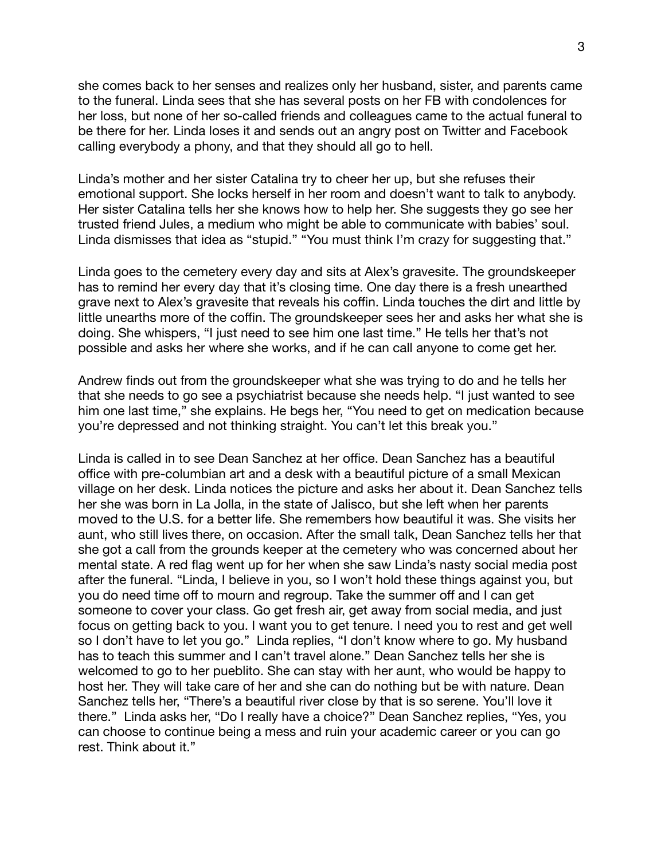she comes back to her senses and realizes only her husband, sister, and parents came to the funeral. Linda sees that she has several posts on her FB with condolences for her loss, but none of her so-called friends and colleagues came to the actual funeral to be there for her. Linda loses it and sends out an angry post on Twitter and Facebook calling everybody a phony, and that they should all go to hell.

Linda's mother and her sister Catalina try to cheer her up, but she refuses their emotional support. She locks herself in her room and doesn't want to talk to anybody. Her sister Catalina tells her she knows how to help her. She suggests they go see her trusted friend Jules, a medium who might be able to communicate with babies' soul. Linda dismisses that idea as "stupid." "You must think I'm crazy for suggesting that."

Linda goes to the cemetery every day and sits at Alex's gravesite. The groundskeeper has to remind her every day that it's closing time. One day there is a fresh unearthed grave next to Alex's gravesite that reveals his coffin. Linda touches the dirt and little by little unearths more of the coffin. The groundskeeper sees her and asks her what she is doing. She whispers, "I just need to see him one last time." He tells her that's not possible and asks her where she works, and if he can call anyone to come get her.

Andrew finds out from the groundskeeper what she was trying to do and he tells her that she needs to go see a psychiatrist because she needs help. "I just wanted to see him one last time," she explains. He begs her, "You need to get on medication because you're depressed and not thinking straight. You can't let this break you."

Linda is called in to see Dean Sanchez at her office. Dean Sanchez has a beautiful office with pre-columbian art and a desk with a beautiful picture of a small Mexican village on her desk. Linda notices the picture and asks her about it. Dean Sanchez tells her she was born in La Jolla, in the state of Jalisco, but she left when her parents moved to the U.S. for a better life. She remembers how beautiful it was. She visits her aunt, who still lives there, on occasion. After the small talk, Dean Sanchez tells her that she got a call from the grounds keeper at the cemetery who was concerned about her mental state. A red flag went up for her when she saw Linda's nasty social media post after the funeral. "Linda, I believe in you, so I won't hold these things against you, but you do need time off to mourn and regroup. Take the summer off and I can get someone to cover your class. Go get fresh air, get away from social media, and just focus on getting back to you. I want you to get tenure. I need you to rest and get well so I don't have to let you go." Linda replies, "I don't know where to go. My husband has to teach this summer and I can't travel alone." Dean Sanchez tells her she is welcomed to go to her pueblito. She can stay with her aunt, who would be happy to host her. They will take care of her and she can do nothing but be with nature. Dean Sanchez tells her, "There's a beautiful river close by that is so serene. You'll love it there." Linda asks her, "Do I really have a choice?" Dean Sanchez replies, "Yes, you can choose to continue being a mess and ruin your academic career or you can go rest. Think about it."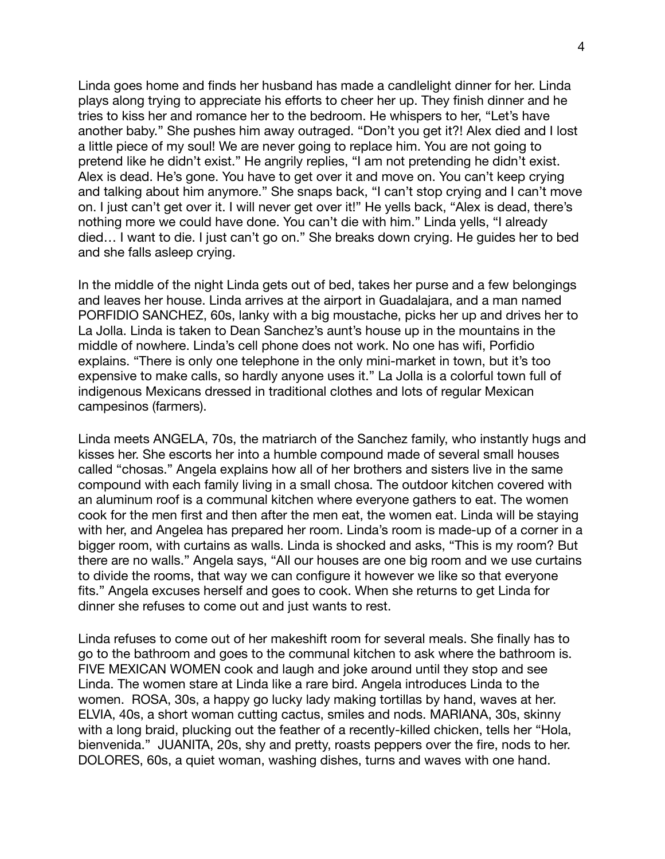Linda goes home and finds her husband has made a candlelight dinner for her. Linda plays along trying to appreciate his efforts to cheer her up. They finish dinner and he tries to kiss her and romance her to the bedroom. He whispers to her, "Let's have another baby." She pushes him away outraged. "Don't you get it?! Alex died and I lost a little piece of my soul! We are never going to replace him. You are not going to pretend like he didn't exist." He angrily replies, "I am not pretending he didn't exist. Alex is dead. He's gone. You have to get over it and move on. You can't keep crying and talking about him anymore." She snaps back, "I can't stop crying and I can't move on. I just can't get over it. I will never get over it!" He yells back, "Alex is dead, there's nothing more we could have done. You can't die with him." Linda yells, "I already died… I want to die. I just can't go on." She breaks down crying. He guides her to bed and she falls asleep crying.

In the middle of the night Linda gets out of bed, takes her purse and a few belongings and leaves her house. Linda arrives at the airport in Guadalajara, and a man named PORFIDIO SANCHEZ, 60s, lanky with a big moustache, picks her up and drives her to La Jolla. Linda is taken to Dean Sanchez's aunt's house up in the mountains in the middle of nowhere. Linda's cell phone does not work. No one has wifi, Porfidio explains. "There is only one telephone in the only mini-market in town, but it's too expensive to make calls, so hardly anyone uses it." La Jolla is a colorful town full of indigenous Mexicans dressed in traditional clothes and lots of regular Mexican campesinos (farmers).

Linda meets ANGELA, 70s, the matriarch of the Sanchez family, who instantly hugs and kisses her. She escorts her into a humble compound made of several small houses called "chosas." Angela explains how all of her brothers and sisters live in the same compound with each family living in a small chosa. The outdoor kitchen covered with an aluminum roof is a communal kitchen where everyone gathers to eat. The women cook for the men first and then after the men eat, the women eat. Linda will be staying with her, and Angelea has prepared her room. Linda's room is made-up of a corner in a bigger room, with curtains as walls. Linda is shocked and asks, "This is my room? But there are no walls." Angela says, "All our houses are one big room and we use curtains to divide the rooms, that way we can configure it however we like so that everyone fits." Angela excuses herself and goes to cook. When she returns to get Linda for dinner she refuses to come out and just wants to rest.

Linda refuses to come out of her makeshift room for several meals. She finally has to go to the bathroom and goes to the communal kitchen to ask where the bathroom is. FIVE MEXICAN WOMEN cook and laugh and joke around until they stop and see Linda. The women stare at Linda like a rare bird. Angela introduces Linda to the women. ROSA, 30s, a happy go lucky lady making tortillas by hand, waves at her. ELVIA, 40s, a short woman cutting cactus, smiles and nods. MARIANA, 30s, skinny with a long braid, plucking out the feather of a recently-killed chicken, tells her "Hola, bienvenida." JUANITA, 20s, shy and pretty, roasts peppers over the fire, nods to her. DOLORES, 60s, a quiet woman, washing dishes, turns and waves with one hand.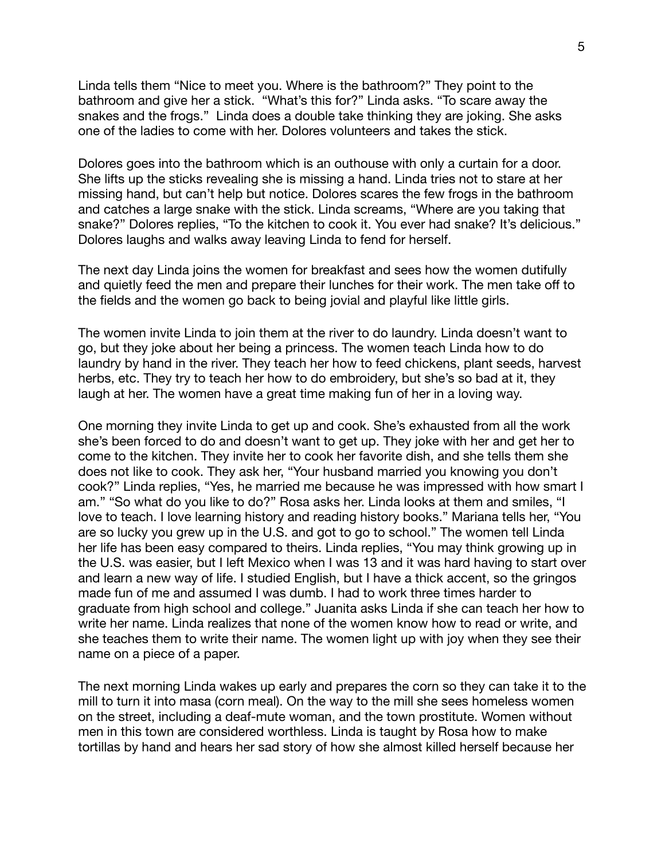Linda tells them "Nice to meet you. Where is the bathroom?" They point to the bathroom and give her a stick. "What's this for?" Linda asks. "To scare away the snakes and the frogs." Linda does a double take thinking they are joking. She asks one of the ladies to come with her. Dolores volunteers and takes the stick.

Dolores goes into the bathroom which is an outhouse with only a curtain for a door. She lifts up the sticks revealing she is missing a hand. Linda tries not to stare at her missing hand, but can't help but notice. Dolores scares the few frogs in the bathroom and catches a large snake with the stick. Linda screams, "Where are you taking that snake?" Dolores replies, "To the kitchen to cook it. You ever had snake? It's delicious." Dolores laughs and walks away leaving Linda to fend for herself.

The next day Linda joins the women for breakfast and sees how the women dutifully and quietly feed the men and prepare their lunches for their work. The men take off to the fields and the women go back to being jovial and playful like little girls.

The women invite Linda to join them at the river to do laundry. Linda doesn't want to go, but they joke about her being a princess. The women teach Linda how to do laundry by hand in the river. They teach her how to feed chickens, plant seeds, harvest herbs, etc. They try to teach her how to do embroidery, but she's so bad at it, they laugh at her. The women have a great time making fun of her in a loving way.

One morning they invite Linda to get up and cook. She's exhausted from all the work she's been forced to do and doesn't want to get up. They joke with her and get her to come to the kitchen. They invite her to cook her favorite dish, and she tells them she does not like to cook. They ask her, "Your husband married you knowing you don't cook?" Linda replies, "Yes, he married me because he was impressed with how smart I am." "So what do you like to do?" Rosa asks her. Linda looks at them and smiles, "I love to teach. I love learning history and reading history books." Mariana tells her, "You are so lucky you grew up in the U.S. and got to go to school." The women tell Linda her life has been easy compared to theirs. Linda replies, "You may think growing up in the U.S. was easier, but I left Mexico when I was 13 and it was hard having to start over and learn a new way of life. I studied English, but I have a thick accent, so the gringos made fun of me and assumed I was dumb. I had to work three times harder to graduate from high school and college." Juanita asks Linda if she can teach her how to write her name. Linda realizes that none of the women know how to read or write, and she teaches them to write their name. The women light up with joy when they see their name on a piece of a paper.

The next morning Linda wakes up early and prepares the corn so they can take it to the mill to turn it into masa (corn meal). On the way to the mill she sees homeless women on the street, including a deaf-mute woman, and the town prostitute. Women without men in this town are considered worthless. Linda is taught by Rosa how to make tortillas by hand and hears her sad story of how she almost killed herself because her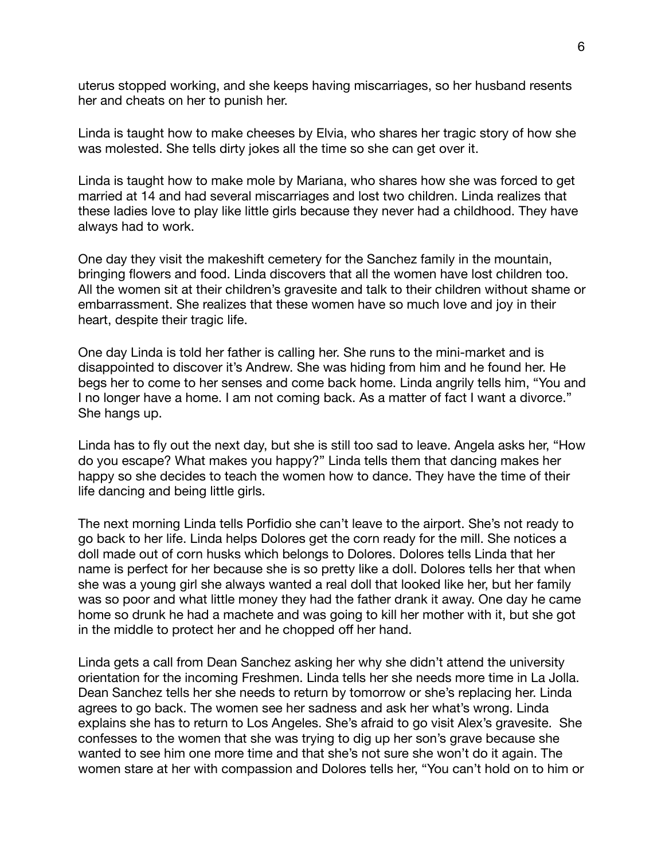uterus stopped working, and she keeps having miscarriages, so her husband resents her and cheats on her to punish her.

Linda is taught how to make cheeses by Elvia, who shares her tragic story of how she was molested. She tells dirty jokes all the time so she can get over it.

Linda is taught how to make mole by Mariana, who shares how she was forced to get married at 14 and had several miscarriages and lost two children. Linda realizes that these ladies love to play like little girls because they never had a childhood. They have always had to work.

One day they visit the makeshift cemetery for the Sanchez family in the mountain, bringing flowers and food. Linda discovers that all the women have lost children too. All the women sit at their children's gravesite and talk to their children without shame or embarrassment. She realizes that these women have so much love and joy in their heart, despite their tragic life.

One day Linda is told her father is calling her. She runs to the mini-market and is disappointed to discover it's Andrew. She was hiding from him and he found her. He begs her to come to her senses and come back home. Linda angrily tells him, "You and I no longer have a home. I am not coming back. As a matter of fact I want a divorce." She hangs up.

Linda has to fly out the next day, but she is still too sad to leave. Angela asks her, "How do you escape? What makes you happy?" Linda tells them that dancing makes her happy so she decides to teach the women how to dance. They have the time of their life dancing and being little girls.

The next morning Linda tells Porfidio she can't leave to the airport. She's not ready to go back to her life. Linda helps Dolores get the corn ready for the mill. She notices a doll made out of corn husks which belongs to Dolores. Dolores tells Linda that her name is perfect for her because she is so pretty like a doll. Dolores tells her that when she was a young girl she always wanted a real doll that looked like her, but her family was so poor and what little money they had the father drank it away. One day he came home so drunk he had a machete and was going to kill her mother with it, but she got in the middle to protect her and he chopped off her hand.

Linda gets a call from Dean Sanchez asking her why she didn't attend the university orientation for the incoming Freshmen. Linda tells her she needs more time in La Jolla. Dean Sanchez tells her she needs to return by tomorrow or she's replacing her. Linda agrees to go back. The women see her sadness and ask her what's wrong. Linda explains she has to return to Los Angeles. She's afraid to go visit Alex's gravesite. She confesses to the women that she was trying to dig up her son's grave because she wanted to see him one more time and that she's not sure she won't do it again. The women stare at her with compassion and Dolores tells her, "You can't hold on to him or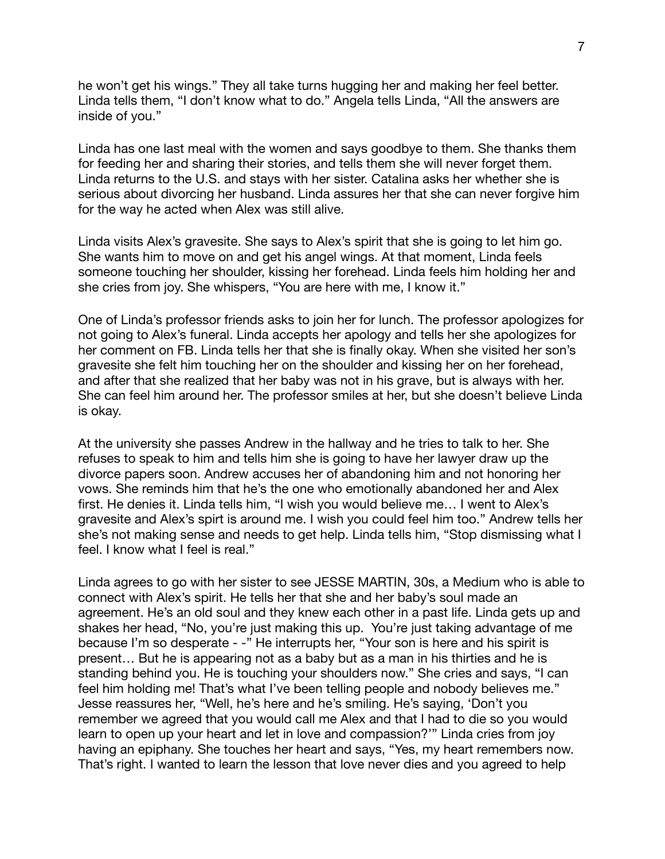he won't get his wings." They all take turns hugging her and making her feel better. Linda tells them, "I don't know what to do." Angela tells Linda, "All the answers are inside of you."

Linda has one last meal with the women and says goodbye to them. She thanks them for feeding her and sharing their stories, and tells them she will never forget them. Linda returns to the U.S. and stays with her sister. Catalina asks her whether she is serious about divorcing her husband. Linda assures her that she can never forgive him for the way he acted when Alex was still alive.

Linda visits Alex's gravesite. She says to Alex's spirit that she is going to let him go. She wants him to move on and get his angel wings. At that moment, Linda feels someone touching her shoulder, kissing her forehead. Linda feels him holding her and she cries from joy. She whispers, "You are here with me, I know it."

One of Linda's professor friends asks to join her for lunch. The professor apologizes for not going to Alex's funeral. Linda accepts her apology and tells her she apologizes for her comment on FB. Linda tells her that she is finally okay. When she visited her son's gravesite she felt him touching her on the shoulder and kissing her on her forehead, and after that she realized that her baby was not in his grave, but is always with her. She can feel him around her. The professor smiles at her, but she doesn't believe Linda is okay.

At the university she passes Andrew in the hallway and he tries to talk to her. She refuses to speak to him and tells him she is going to have her lawyer draw up the divorce papers soon. Andrew accuses her of abandoning him and not honoring her vows. She reminds him that he's the one who emotionally abandoned her and Alex first. He denies it. Linda tells him, "I wish you would believe me… I went to Alex's gravesite and Alex's spirt is around me. I wish you could feel him too." Andrew tells her she's not making sense and needs to get help. Linda tells him, "Stop dismissing what I feel. I know what I feel is real."

Linda agrees to go with her sister to see JESSE MARTIN, 30s, a Medium who is able to connect with Alex's spirit. He tells her that she and her baby's soul made an agreement. He's an old soul and they knew each other in a past life. Linda gets up and shakes her head, "No, you're just making this up. You're just taking advantage of me because I'm so desperate - -" He interrupts her, "Your son is here and his spirit is present… But he is appearing not as a baby but as a man in his thirties and he is standing behind you. He is touching your shoulders now." She cries and says, "I can feel him holding me! That's what I've been telling people and nobody believes me." Jesse reassures her, "Well, he's here and he's smiling. He's saying, 'Don't you remember we agreed that you would call me Alex and that I had to die so you would learn to open up your heart and let in love and compassion?'" Linda cries from joy having an epiphany. She touches her heart and says, "Yes, my heart remembers now. That's right. I wanted to learn the lesson that love never dies and you agreed to help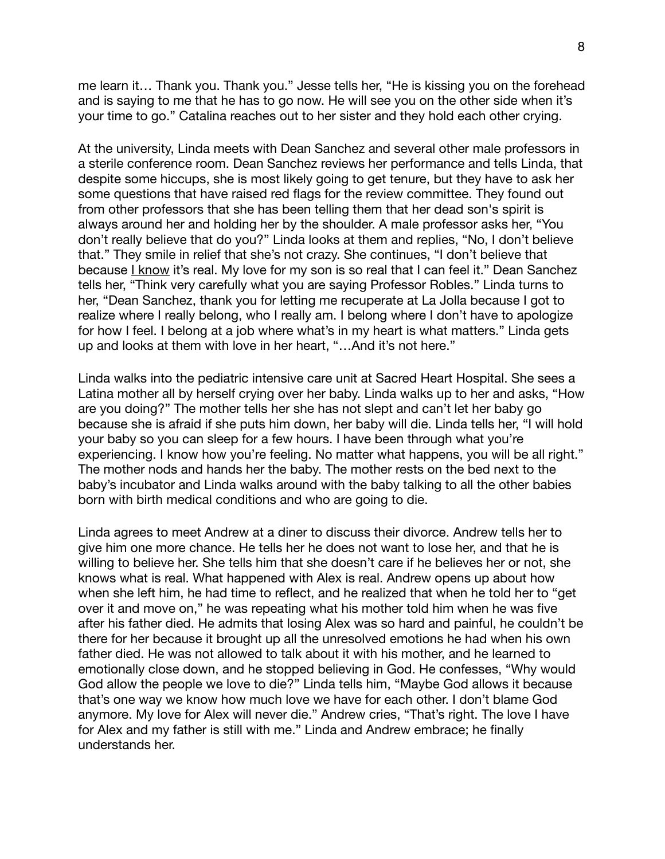me learn it… Thank you. Thank you." Jesse tells her, "He is kissing you on the forehead and is saying to me that he has to go now. He will see you on the other side when it's your time to go." Catalina reaches out to her sister and they hold each other crying.

At the university, Linda meets with Dean Sanchez and several other male professors in a sterile conference room. Dean Sanchez reviews her performance and tells Linda, that despite some hiccups, she is most likely going to get tenure, but they have to ask her some questions that have raised red flags for the review committee. They found out from other professors that she has been telling them that her dead son's spirit is always around her and holding her by the shoulder. A male professor asks her, "You don't really believe that do you?" Linda looks at them and replies, "No, I don't believe that." They smile in relief that she's not crazy. She continues, "I don't believe that because I know it's real. My love for my son is so real that I can feel it." Dean Sanchez tells her, "Think very carefully what you are saying Professor Robles." Linda turns to her, "Dean Sanchez, thank you for letting me recuperate at La Jolla because I got to realize where I really belong, who I really am. I belong where I don't have to apologize for how I feel. I belong at a job where what's in my heart is what matters." Linda gets up and looks at them with love in her heart, "…And it's not here."

Linda walks into the pediatric intensive care unit at Sacred Heart Hospital. She sees a Latina mother all by herself crying over her baby. Linda walks up to her and asks, "How are you doing?" The mother tells her she has not slept and can't let her baby go because she is afraid if she puts him down, her baby will die. Linda tells her, "I will hold your baby so you can sleep for a few hours. I have been through what you're experiencing. I know how you're feeling. No matter what happens, you will be all right." The mother nods and hands her the baby. The mother rests on the bed next to the baby's incubator and Linda walks around with the baby talking to all the other babies born with birth medical conditions and who are going to die.

Linda agrees to meet Andrew at a diner to discuss their divorce. Andrew tells her to give him one more chance. He tells her he does not want to lose her, and that he is willing to believe her. She tells him that she doesn't care if he believes her or not, she knows what is real. What happened with Alex is real. Andrew opens up about how when she left him, he had time to reflect, and he realized that when he told her to "get over it and move on," he was repeating what his mother told him when he was five after his father died. He admits that losing Alex was so hard and painful, he couldn't be there for her because it brought up all the unresolved emotions he had when his own father died. He was not allowed to talk about it with his mother, and he learned to emotionally close down, and he stopped believing in God. He confesses, "Why would God allow the people we love to die?" Linda tells him, "Maybe God allows it because that's one way we know how much love we have for each other. I don't blame God anymore. My love for Alex will never die." Andrew cries, "That's right. The love I have for Alex and my father is still with me." Linda and Andrew embrace; he finally understands her.